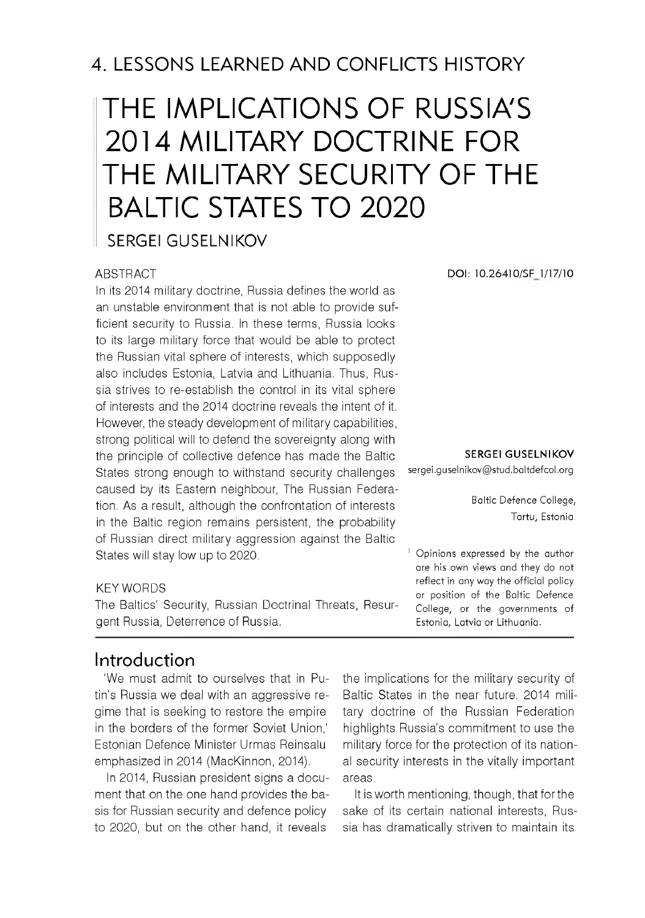# 4. LESSONS LEARNED AND CONFLICTS HISTORY

# THE IMPLICATIONS OF RUSSIA'S 2014 MILITARY DOCTRINE FOR THE MILITARY SECURITY OF THE BALTIC STATES TO 2020

SERGEI GUSELNIKOV

#### **ABSTRACT**

In its 2014 military doctrine, Russia defines the world as an unstable environment that is not able to provide sufficient security to Russia. In these terms, Russia looks to its large military force that would be able to protect the Russian vital sphere of interests, which supposedly also includes Estonia, Latvia and Lithuania. Thus, Russia strives to re-establish the control in its vital sphere of interests and the 2014 doctrine reveals the intent of it. However, the steady development of military capabilities, strong political will to defend the sovereignty along with the principle of collective defence has made the Baltic States strong enough to withstand security challenges caused by its Eastern neighbour, The Russian Federation. As a result, although the confrontation of interests in the Baltic region remains persistent, the probability of Russian direct military aggression against the Baltic States will stay low up to 2020.

#### KEY WORDS

The Baltics' Security, Russian Doctrinal Threats, Resurgent Russia, Deterrence of Russia.

#### Introduction

'We must admit to ourselves that in Putin's Russia we deal with an aggressive regime that is seeking to restore the empire in the borders of the former Soviet Union, Estonian Defence Minister Urmas Reinsalu emphasized in 2014 (MacKinnon, 2014).

In 2014, Russian president signs a document that on the one hand provides the basis for Russian security and defence policy to 2020, but on the other hand, it reveals

the implications for the military security of Baltic States in the near future. 2014 military doctrine of the Russian Federation highlights Russia's commitment to use the military force for the protection of its national security interests in the vitally important areas.

It is worth mentioning, though, that for the sake of its certain national interests, Russia has dramatically striven to maintain its

**DOI: 10.26410/SF 1/17/10**

**SERGEI GUSELNIKOV**

[sergei.guselnikov@ stud.baltdefcol.org](mailto:sergei.guselnikov@stud.baltdefcol.org)

Baltic Defence College, Tartu, Estonia

 $<sup>1</sup>$  Opinions expressed by the author</sup> are his own views and they do not reflect in any way the official policy or position of the Baltic Defence College, or the governments of Estonia, Latvia or Lithuania.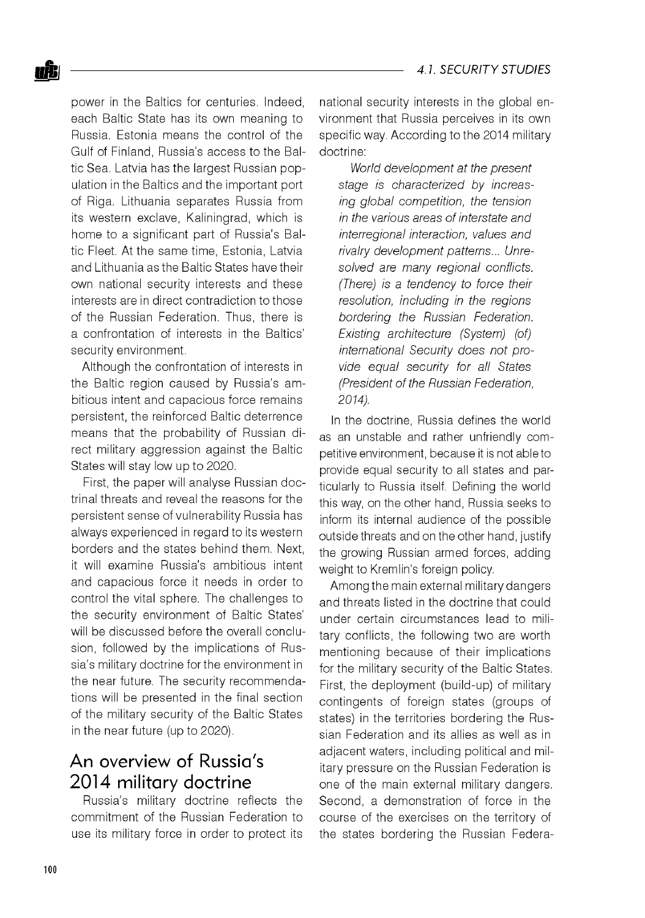power in the Baltics for centuries. Indeed, each Baltic State has its own meaning to Russia. Estonia means the control of the Gulf of Finland, Russia's access to the Baltic Sea. Latvia has the largest Russian population in the Baltics and the important port of Riga. Lithuania separates Russia from its western exclave, Kaliningrad, which is home to a significant part of Russia's Baltic Fleet. At the same time, Estonia, Latvia and Lithuania as the Baltic States have their own national security interests and these interests are in direct contradiction to those of the Russian Federation. Thus, there is a confrontation of interests in the Baltics' security environment.

Although the confrontation of interests in the Baltic region caused by Russia's ambitious intent and capacious force remains persistent, the reinforced Baltic deterrence means that the probability of Russian direct military aggression against the Baltic States will stay low up to 2020.

First, the paper will analyse Russian doctrinal threats and reveal the reasons for the persistent sense of vulnerability Russia has always experienced in regard to its western borders and the states behind them. Next, it will examine Russia's ambitious intent and capacious force it needs in order to control the vital sphere. The challenges to the security environment of Baltic States' will be discussed before the overall conclusion, followed by the implications of Russia's military doctrine for the environment in the near future. The security recommendations will be presented in the final section of the military security of the Baltic States in the near future (up to 2020).

## An overview of Russia's 2014 military doctrine

Russia's military doctrine reflects the commitment of the Russian Federation to use its military force in order to protect its national security interests in the global environment that Russia perceives in its own specific way. According to the 2014 military doctrine:

*World development at the present stage is characterized by increasing global competition, the tension in the various areas of interstate and interregional interaction, values and rivalry development patterns... Unresolved are many regional conflicts. (There) is a tendency to force their resolution, including in the regions bordering the Russian Federation. Existing architecture (System) (of) international Security does not provide equal security for all States (President of the Russian Federation, 2014).*

In the doctrine, Russia defines the world as an unstable and rather unfriendly competitive environment, because it is not able to provide equal security to all states and particularly to Russia itself. Defining the world this way, on the other hand, Russia seeks to inform its internal audience of the possible outside threats and on the other hand, justify the growing Russian armed forces, adding weight to Kremlin's foreign policy.

Among the main external military dangers and threats listed in the doctrine that could under certain circumstances lead to military conflicts, the following two are worth mentioning because of their implications for the military security of the Baltic States. First, the deployment (build-up) of military contingents of foreign states (groups of states) in the territories bordering the Russian Federation and its allies as well as in adjacent waters, including political and military pressure on the Russian Federation is one of the main external military dangers. Second, a demonstration of force in the course of the exercises on the territory of the states bordering the Russian Federa-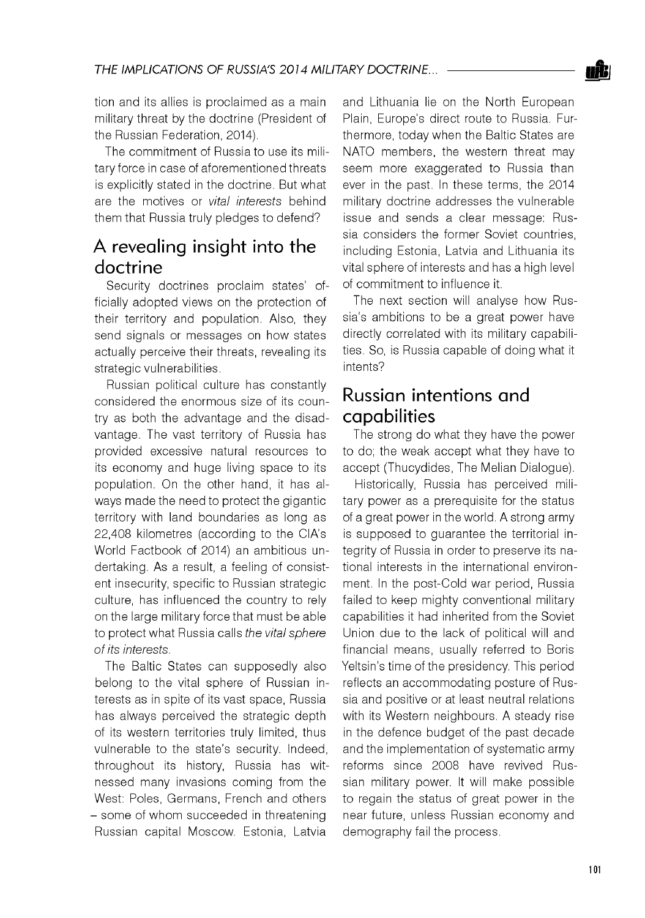

tion and its allies is proclaimed as a main military threat by the doctrine (President of the Russian Federation, 2014).

The commitment of Russia to use its military force in case of aforementioned threats is explicitly stated in the doctrine. But what are the motives or *vital interests* behind them that Russia truly pledges to defend?

## A revealing insight into the doctrine

Security doctrines proclaim states' officially adopted views on the protection of their territory and population. Also, they send signals or messages on how states actually perceive their threats, revealing its strategic vulnerabilities.

Russian political culture has constantly considered the enormous size of its country as both the advantage and the disadvantage. The vast territory of Russia has provided excessive natural resources to its economy and huge living space to its population. On the other hand, it has always made the need to protect the gigantic territory with land boundaries as long as 22,408 kilometres (according to the CIA's World Factbook of 2014) an ambitious undertaking. As a result, a feeling of consistent insecurity, specific to Russian strategic culture, has influenced the country to rely on the large military force that must be able to protect what Russia calls *the vital sphere of its interests.*

The Baltic States can supposedly also belong to the vital sphere of Russian interests as in spite of its vast space, Russia has always perceived the strategic depth of its western territories truly limited, thus vulnerable to the state's security. Indeed, throughout its history, Russia has witnessed many invasions coming from the West: Poles, Germans, French and others - some of whom succeeded in threatening Russian capital Moscow. Estonia, Latvia

and Lithuania lie on the North European Plain, Europe's direct route to Russia. Furthermore, today when the Baltic States are NATO members, the western threat may seem more exaggerated to Russia than ever in the past. In these terms, the 2014 military doctrine addresses the vulnerable issue and sends a clear message: Russia considers the former Soviet countries, including Estonia, Latvia and Lithuania its vital sphere of interests and has a high level of commitment to influence it.

The next section will analyse how Russia's ambitions to be a great power have directly correlated with its military capabilities. So, is Russia capable of doing what it intents?

### Russian intentions and capabilities

The strong do what they have the power to do; the weak accept what they have to accept (Thucydides, The Melian Dialogue).

Historically, Russia has perceived military power as a prerequisite for the status of a great power in the world. A strong army is supposed to guarantee the territorial integrity of Russia in order to preserve its national interests in the international environment. In the post-Cold war period, Russia failed to keep mighty conventional military capabilities it had inherited from the Soviet Union due to the lack of political will and financial means, usually referred to Boris Yeltsin's time of the presidency. This period reflects an accommodating posture of Russia and positive or at least neutral relations with its Western neighbours. A steady rise in the defence budget of the past decade and the implementation of systematic army reforms since 2008 have revived Russian military power. It will make possible to regain the status of great power in the near future, unless Russian economy and demography fail the process.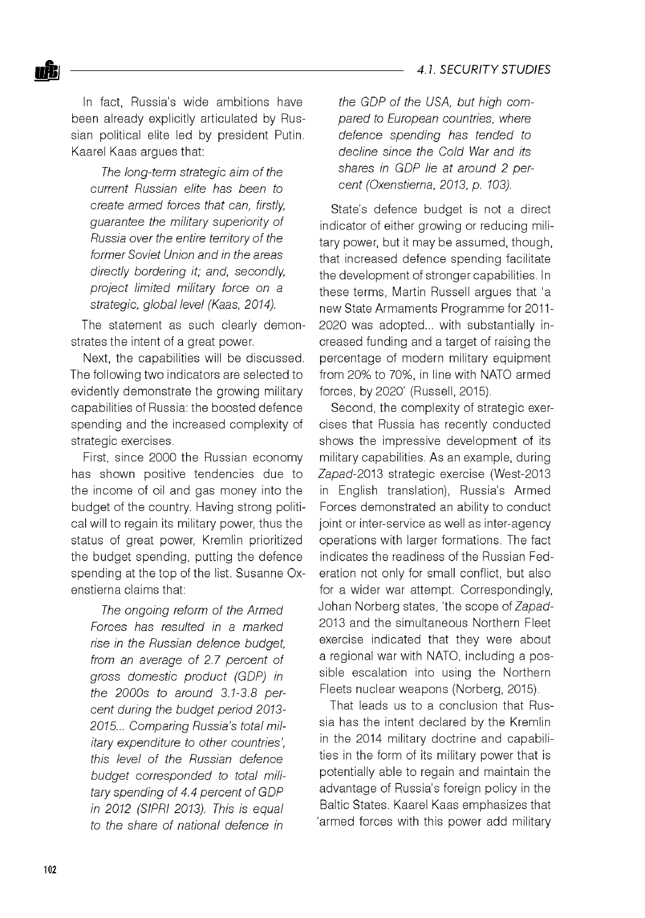In fact, Russia's wide ambitions have been already explicitly articulated by Russian political elite led by president Putin. Kaarel Kaas argues that:

*The long-term strategic aim of the current Russian elite has been to create armed forces that can, firstly, guarantee the military superiority of Russia over the entire territory of the former Soviet Union and in the areas directly bordering it; and, secondly, project limited military force on a strategic, global level (Kaas, 2014).*

The statement as such clearly demonstrates the intent of a great power.

Next, the capabilities will be discussed. The following two indicators are selected to evidently demonstrate the growing military capabilities of Russia: the boosted defence spending and the increased complexity of strategic exercises.

First, since 2000 the Russian economy has shown positive tendencies due to the income of oil and gas money into the budget of the country. Having strong political will to regain its military power, thus the status of great power, Kremlin prioritized the budget spending, putting the defence spending at the top of the list. Susanne Oxenstierna claims that:

*The ongoing reform of the Armed Forces has resulted in a marked rise in the Russian defence budget, from an average of 2.7 percent of gross domestic product (GDP) in the 2000s to around 3.1-3.8 percent during the budget period 2013 2015... Comparing Russia's total military expenditure to other countries', this level of the Russian defence budget corresponded to total military spending of 4.4 percent of GDP in 2012 (SIPRI 2013). This is equal to the share of national defence in*

*the GDP of the USA, but high compared to European countries, where defence spending has tended to decline since the Cold War and its shares in GDP lie at around 2 percent (Oxenstierna, 2013, p. 103).*

State's defence budget is not a direct indicator of either growing or reducing military power, but it may be assumed, though, that increased defence spending facilitate the development of stronger capabilities. In these terms, Martin Russell argues that 'a new State Armaments Programme for 2011 2020 was adopted... with substantially increased funding and a target of raising the percentage of modern military equipment from 20% to 70%, in line with NATO armed forces, by 2020' (Russell, 2015).

Second, the complexity of strategic exercises that Russia has recently conducted shows the impressive development of its military capabilities. As an example, during Zapad-2013 strategic exercise (West-2013 in English translation), Russia's Armed Forces demonstrated an ability to conduct joint or inter-service as well as inter-agency operations with larger formations. The fact indicates the readiness of the Russian Federation not only for small conflict, but also for a wider war attempt. Correspondingly, Johan Norberg states, 'the scope of Zapad-2013 and the simultaneous Northern Fleet exercise indicated that they were about a regional war with NATO, including a possible escalation into using the Northern Fleets nuclear weapons (Norberg, 2015).

That leads us to a conclusion that Russia has the intent declared by the Kremlin in the 2014 military doctrine and capabilities in the form of its military power that is potentially able to regain and maintain the advantage of Russia's foreign policy in the Baltic States. Kaarel Kaas emphasizes that 'armed forces with this power add military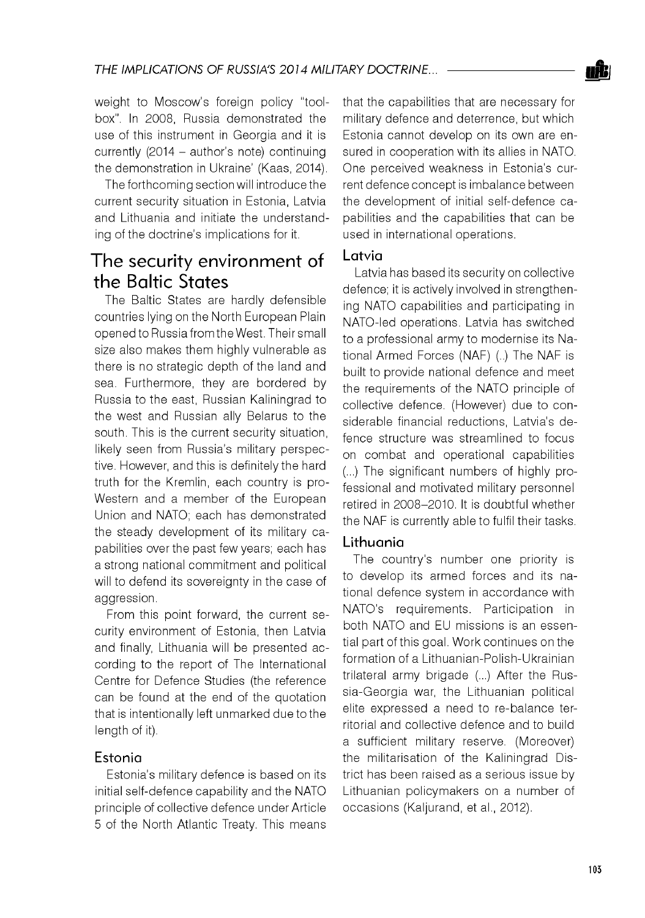

weight to Moscow's foreign policy "toolbox". In 2008, Russia demonstrated the use of this instrument in Georgia and it is currently (2014 - author's note) continuing the demonstration in Ukraine' (Kaas, 2014).

The forthcoming section will introduce the current security situation in Estonia, Latvia and Lithuania and initiate the understanding of the doctrine's implications for it.

### The security environment of the Baltic States

The Baltic States are hardly defensible countries lying on the North European Plain opened to Russia from the West. Their small size also makes them highly vulnerable as there is no strategic depth of the land and sea. Furthermore, they are bordered by Russia to the east, Russian Kaliningrad to the west and Russian ally Belarus to the south. This is the current security situation, likely seen from Russia's military perspective. However, and this is definitely the hard truth for the Kremlin, each country is pro-Western and a member of the European Union and NATO; each has demonstrated the steady development of its military capabilities over the past few years; each has a strong national commitment and political will to defend its sovereignty in the case of aggression.

From this point forward, the current security environment of Estonia, then Latvia and finally, Lithuania will be presented according to the report of The International Centre for Defence Studies (the reference can be found at the end of the quotation that is intentionally left unmarked due to the length of it).

#### Estonia

Estonia's military defence is based on its initial self-defence capability and the NATO principle of collective defence under Article 5 of the North Atlantic Treaty. This means that the capabilities that are necessary for military defence and deterrence, but which Estonia cannot develop on its own are ensured in cooperation with its allies in NATO. One perceived weakness in Estonia's current defence concept is imbalance between the development of initial self-defence capabilities and the capabilities that can be used in international operations.

#### Latvia

Latvia has based its security on collective defence; it is actively involved in strengthening NATO capabilities and participating in NATO-led operations. Latvia has switched to a professional army to modernise its National Armed Forces (NAF) (..) The NAF is built to provide national defence and meet the requirements of the NATO principle of collective defence. (However) due to considerable financial reductions, Latvia's defence structure was streamlined to focus on combat and operational capabilities (...) The significant numbers of highly professional and motivated military personnel retired in 2008-2010. It is doubtful whether the NAF is currently able to fulfil their tasks.

#### Lithuania

The country's number one priority is to develop its armed forces and its national defence system in accordance with NATO's requirements. Participation in both NATO and EU missions is an essential part of this goal. Work continues on the formation of a Lithuanian-Polish-Ukrainian trilateral army brigade (...) After the Russia-Georgia war, the Lithuanian political elite expressed a need to re-balance territorial and collective defence and to build a sufficient military reserve. (Moreover) the militarisation of the Kaliningrad District has been raised as a serious issue by Lithuanian policymakers on a number of occasions (Kaljurand, et al., 2012).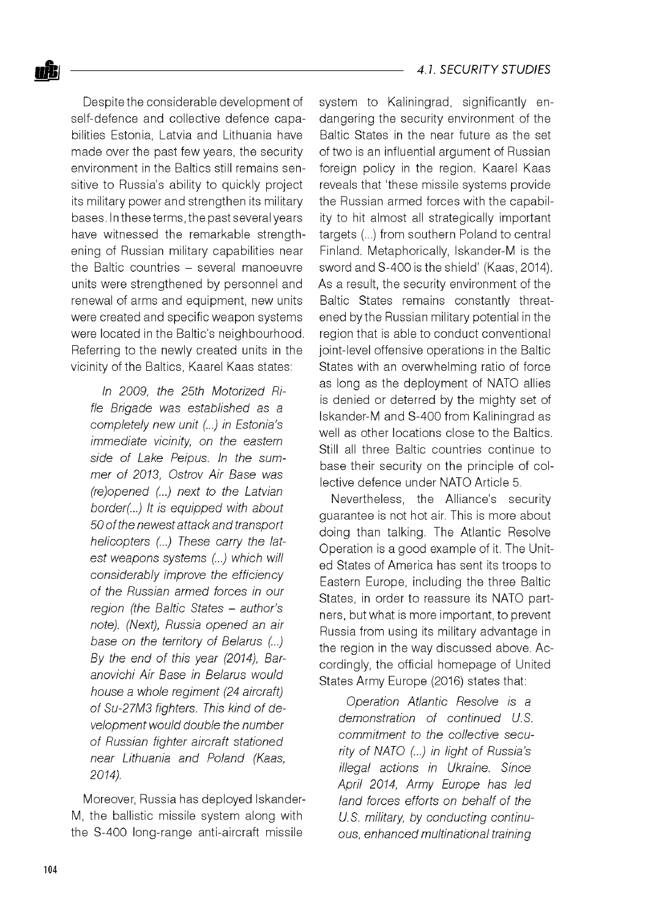Despite the considerable development of self-defence and collective defence capabilities Estonia, Latvia and Lithuania have made over the past few years, the security environment in the Baltics still remains sensitive to Russia's ability to quickly project its military power and strengthen its military bases. In these terms, the past several years have witnessed the remarkable strengthening of Russian military capabilities near the Baltic countries - several manoeuvre units were strengthened by personnel and renewal of arms and equipment, new units were created and specific weapon systems were located in the Baltic's neighbourhood. Referring to the newly created units in the vicinity of the Baltics, Kaarel Kaas states:

*In 2009, the 25th Motorized Rifle Brigade was established as a completely new unit (...) in Estonia's immediate vicinity, on the eastern side of Lake Peipus. In the summer of 2013, Ostrov Air Base was (re)opened (...) next to the Latvian border(... ) It is equipped with about 50 of the newest attack and transport helicopters (...) These carry the latest weapons systems (... ) which will considerably improve the efficiency of the Russian armed forces in our region (the Baltic States - author's note). (Next), Russia opened an air base on the territory of Belarus (... ) By the end of this year (2014), Baranovichi Air Base in Belarus would house a whole regiment (24 aircraft) of Su-27M3 fighters. This kind of development would double the number of Russian fighter aircraft stationed near Lithuania and Poland (Kaas, 2014).*

Moreover, Russia has deployed Iskander-M, the ballistic missile system along with the S-400 long-range anti-aircraft missile

system to Kaliningrad, significantly endangering the security environment of the Baltic States in the near future as the set of two is an influential argument of Russian foreign policy in the region. Kaarel Kaas reveals that 'these missile systems provide the Russian armed forces with the capability to hit almost all strategically important targets (...) from southern Poland to central Finland. Metaphorically, Iskander-M is the sword and S-400 is the shield' (Kaas, 2014). As a result, the security environment of the Baltic States remains constantly threatened by the Russian military potential in the region that is able to conduct conventional joint-level offensive operations in the Baltic States with an overwhelming ratio of force as long as the deployment of NATO allies is denied or deterred by the mighty set of Iskander-M and S-400 from Kaliningrad as well as other locations close to the Baltics. Still all three Baltic countries continue to base their security on the principle of collective defence under NATO Article 5.

Nevertheless, the Alliance's security guarantee is not hot air. This is more about doing than talking. The Atlantic Resolve Operation is a good example of it. The United States of America has sent its troops to Eastern Europe, including the three Baltic States, in order to reassure its NATO partners, but what is more important, to prevent Russia from using its military advantage in the region in the way discussed above. Accordingly, the official homepage of United States Army Europe (2016) states that:

*Operation Atlantic Resolve is a demonstration of continued U.S. commitment to the collective security of NATO (...) in light of Russia's illegal actions in Ukraine. Since April 2014, Army Europe has led land forces efforts on behalf of the U.S. military, by conducting continuous, enhanced multinational training*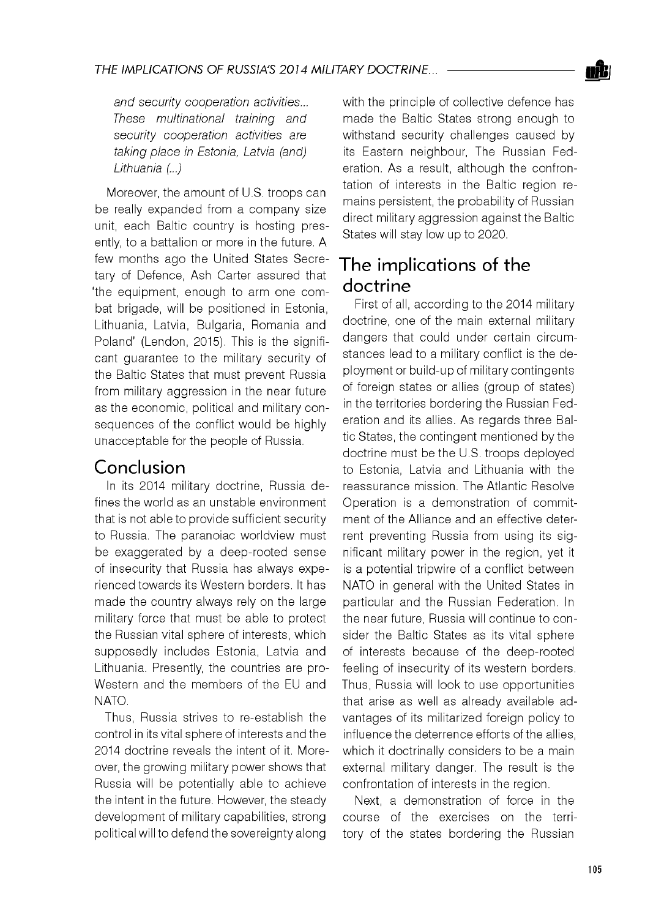*and security cooperation activities... These multinational training and security cooperation activities are taking place in Estonia, Latvia (and) Lithuania (... )*

Moreover, the amount of U.S. troops can be really expanded from a company size unit, each Baltic country is hosting presently, to a battalion or more in the future. A few months ago the United States Secretary of Defence, Ash Carter assured that 'the equipment, enough to arm one combat brigade, will be positioned in Estonia, Lithuania, Latvia, Bulgaria, Romania and Poland' (Lendon, 2015). This is the significant guarantee to the military security of the Baltic States that must prevent Russia from military aggression in the near future as the economic, political and military consequences of the conflict would be highly unacceptable for the people of Russia.

## Conclusion

In its 2014 military doctrine, Russia defines the world as an unstable environment that is not able to provide sufficient security to Russia. The paranoiac worldview must be exaggerated by a deep-rooted sense of insecurity that Russia has always experienced towards its Western borders. It has made the country always rely on the large military force that must be able to protect the Russian vital sphere of interests, which supposedly includes Estonia, Latvia and Lithuania. Presently, the countries are pro-Western and the members of the EU and NATO.

Thus, Russia strives to re-establish the control in its vital sphere of interests and the 2014 doctrine reveals the intent of it. Moreover, the growing military power shows that Russia will be potentially able to achieve the intent in the future. However, the steady development of military capabilities, strong political will to defend the sovereignty along

with the principle of collective defence has made the Baltic States strong enough to withstand security challenges caused by its Eastern neighbour, The Russian Federation. As a result, although the confrontation of interests in the Baltic region remains persistent, the probability of Russian direct military aggression against the Baltic States will stay low up to 2020.

## The implications of the doctrine

First of all, according to the 2014 military doctrine, one of the main external military dangers that could under certain circumstances lead to a military conflict is the deployment or build-up of military contingents of foreign states or allies (group of states) in the territories bordering the Russian Federation and its allies. As regards three Baltic States, the contingent mentioned by the doctrine must be the U.S. troops deployed to Estonia, Latvia and Lithuania with the reassurance mission. The Atlantic Resolve Operation is a demonstration of commitment of the Alliance and an effective deterrent preventing Russia from using its significant military power in the region, yet it is a potential tripwire of a conflict between NATO in general with the United States in particular and the Russian Federation. In the near future, Russia will continue to consider the Baltic States as its vital sphere of interests because of the deep-rooted feeling of insecurity of its western borders. Thus, Russia will look to use opportunities that arise as well as already available advantages of its militarized foreign policy to influence the deterrence efforts of the allies, which it doctrinally considers to be a main external military danger. The result is the confrontation of interests in the region.

Next, a demonstration of force in the course of the exercises on the territory of the states bordering the Russian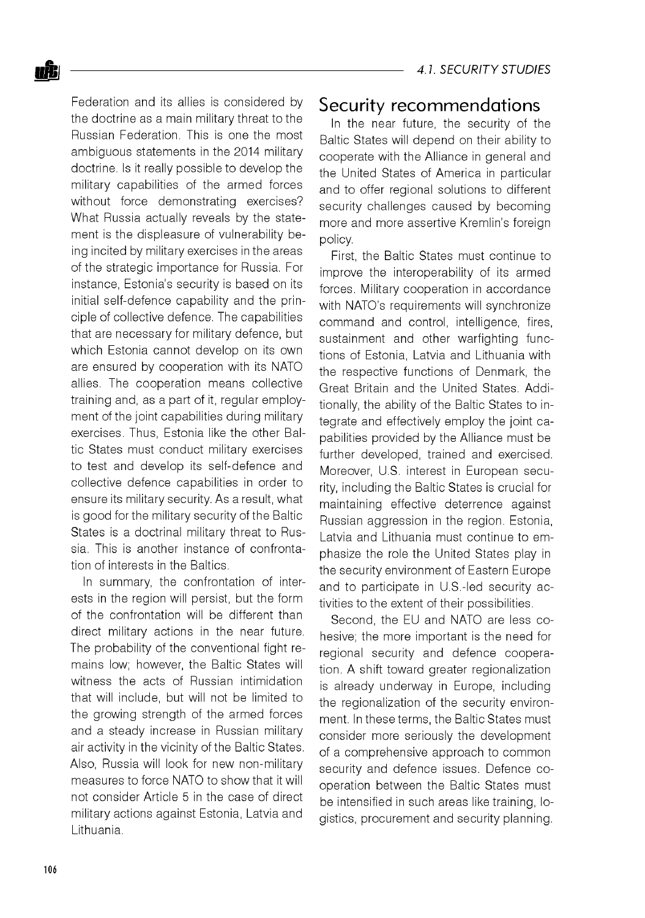Federation and its allies is considered by the doctrine as a main military threat to the Russian Federation. This is one the most ambiguous statements in the 2014 military doctrine. Is it really possible to develop the military capabilities of the armed forces without force demonstrating exercises? What Russia actually reveals by the statement is the displeasure of vulnerability being incited by military exercises in the areas of the strategic importance for Russia. For instance, Estonia's security is based on its initial self-defence capability and the principle of collective defence. The capabilities that are necessary for military defence, but which Estonia cannot develop on its own are ensured by cooperation with its NATO allies. The cooperation means collective training and, as a part of it, regular employment of the joint capabilities during military exercises. Thus, Estonia like the other Baltic States must conduct military exercises to test and develop its self-defence and collective defence capabilities in order to ensure its military security. As a result, what is good for the military security of the Baltic States is a doctrinal military threat to Russia. This is another instance of confrontation of interests in the Baltics.

In summary, the confrontation of interests in the region will persist, but the form of the confrontation will be different than direct military actions in the near future. The probability of the conventional fight remains low; however, the Baltic States will witness the acts of Russian intimidation that will include, but will not be limited to the growing strength of the armed forces and a steady increase in Russian military air activity in the vicinity of the Baltic States. Also, Russia will look for new non-military measures to force NATO to show that it will not consider Article 5 in the case of direct military actions against Estonia, Latvia and Lithuania.

#### Security recommendations

In the near future, the security of the Baltic States will depend on their ability to cooperate with the Alliance in general and the United States of America in particular and to offer regional solutions to different security challenges caused by becoming more and more assertive Kremlin's foreign policy.

First, the Baltic States must continue to improve the interoperability of its armed forces. Military cooperation in accordance with NATO's requirements will synchronize command and control, intelligence, fires, sustainment and other warfighting functions of Estonia, Latvia and Lithuania with the respective functions of Denmark, the Great Britain and the United States. Additionally, the ability of the Baltic States to integrate and effectively employ the joint capabilities provided by the Alliance must be further developed, trained and exercised. Moreover, U.S. interest in European security, including the Baltic States is crucial for maintaining effective deterrence against Russian aggression in the region. Estonia, Latvia and Lithuania must continue to emphasize the role the United States play in the security environment of Eastern Europe and to participate in U.S.-led security activities to the extent of their possibilities.

Second, the EU and NATO are less cohesive; the more important is the need for regional security and defence cooperation. A shift toward greater regionalization is already underway in Europe, including the regionalization of the security environment. In these terms, the Baltic States must consider more seriously the development of a comprehensive approach to common security and defence issues. Defence cooperation between the Baltic States must be intensified in such areas like training, logistics, procurement and security planning.